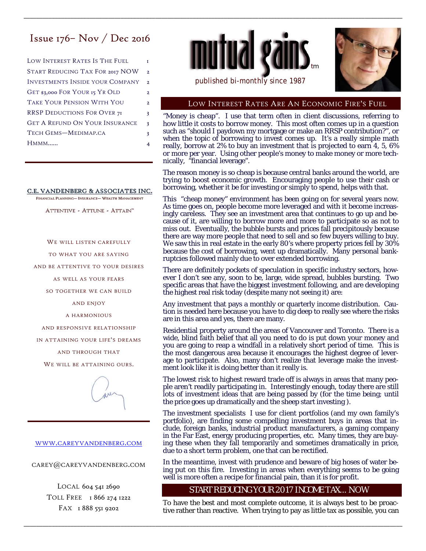# Issue  $176$ – Nov / Dec 2016

LOW INTEREST RATES IS THE FUEL 1 START REDUCING TAX FOR 2017 NOW 2 INVESTMENTS INSIDE YOUR COMPANY 2 GET \$3,000 FOR YOUR 15 YR OLD 2 TAKE YOUR PENSION WITH YOU 2 RRSP DEDUCTIONS FOR OVER 71 3 HMMM…… 4 GET A REFUND ON YOUR INSURANCE 3 TECH GEMS-MEDIMAP.CA 3

#### C.E. VANDENBERG & ASSOCIATES INC.

FINANCIAL PLANNING- INSURANCE- WEALTH MANAGEMENT

ATTENTIVE - ATTUNE - ATTAIN"

WE WILL LISTEN CAREFULLY

TO WHAT YOU ARE SAYING

AND BE ATTENTIVE TO YOUR DESIRES

AS WELL AS YOUR FEARS

SO TOGETHER WE CAN BUILD

AND ENJOY

A HARMONIOUS

AND RESPONSIVE RELATIONSHIP

IN ATTAINING YOUR LIFE'S DREAMS

AND THROUGH THAT

WE WILL BE ATTAINING OURS.



#### WWW.CAREYVANDENBERG.COM

CAREY@CAREYVANDENBERG.COM

LOCAL 604 541 2690 TOLL FREE 1 866 274 1222 FAX 1 888 551 9202



\_\_\_\_\_\_\_\_\_\_\_\_\_\_\_\_\_\_\_\_\_\_\_\_\_\_\_\_\_\_\_\_\_\_\_\_\_\_\_\_\_\_\_\_\_\_\_\_\_\_\_\_\_\_\_\_\_\_\_\_\_\_\_\_\_\_\_\_\_\_\_\_\_\_\_\_\_\_\_\_\_\_\_\_\_\_\_\_\_\_\_\_\_\_\_\_\_\_\_\_\_\_\_\_\_\_\_\_\_\_\_\_\_\_\_\_\_\_\_\_\_



#### LOW INTEREST RATES ARE AN ECONOMIC FIRE'S FUEL

"Money is cheap". I use that term often in client discussions, referring to how little it costs to borrow money. This most often comes up in a question such as "should I paydown my mortgage or make an RRSP contribution?", or when the topic of borrowing to invest comes up. It's a really simple math really, borrow at 2% to buy an investment that is projected to earn 4, 5, 6% or more per year. Using other people's money to make money or more technically, "financial leverage".

The reason money is so cheap is because central banks around the world, are trying to boost economic growth. Encouraging people to use their cash or borrowing, whether it be for investing or simply to spend, helps with that.

This "cheap money" environment has been going on for several years now. As time goes on, people become more leveraged and with it become increasingly careless. They see an investment area that continues to go up and because of it, are willing to borrow more and more to participate so as not to miss out. Eventually, the bubble bursts and prices fall precipitously because there are way more people that need to sell and so few buyers willing to buy. We saw this in real estate in the early 80's where property prices fell by 30% because the cost of borrowing, went up dramatically. Many personal bankruptcies followed mainly due to over extended borrowing.

There are definitely pockets of speculation in specific industry sectors, however I don't see any, soon to be, large, wide spread, bubbles bursting. Two specific areas that have the biggest investment following, and are developing the highest real risk today (despite many not seeing it) are:

Any investment that pays a monthly or quarterly income distribution. Caution is needed here because you have to dig deep to really see where the risks are in this area and yes, there are many.

Residential property around the areas of Vancouver and Toronto. There is a wide, blind faith belief that all you need to do is put down your money and you are going to reap a windfall in a relatively short period of time. This is the most dangerous area because it encourages the highest degree of leverage to participate. Also, many don't realize that leverage make the investment look like it is doing better than it really is.

The lowest risk to highest reward trade off is always in areas that many people aren't readily participating in. Interestingly enough, today there are still lots of investment ideas that are being passed by (for the time being; until the price goes up dramatically and the sheep start investing ).

The investment specialists I use for client portfolios (and my own family's portfolio), are finding some compelling investment buys in areas that include, foreign banks, industrial product manufacturers, a gaming company in the Far East, energy producing properties, etc. Many times, they are buying these when they fall temporarily and sometimes dramatically in price, due to a short term problem, one that can be rectified.

In the meantime, invest with prudence and beware of big hoses of water being put on this fire. Investing in areas when everything seems to be going well is more often a recipe for financial pain, than it is for profit.

## START REDUCING YOUR 2017 INCOME TAX... NOW

To have the best and most complete outcome, it is always best to be proactive rather than reactive. When trying to pay as little tax as possible, you can

\_\_\_\_\_\_\_\_\_\_\_\_\_\_\_\_\_\_\_\_\_\_\_\_\_\_\_\_\_\_\_\_\_\_\_\_\_\_\_\_\_\_\_\_\_\_\_\_\_\_\_\_\_\_\_\_\_\_\_\_\_\_\_\_\_\_\_\_\_\_\_\_\_\_\_\_\_\_\_\_\_\_\_\_\_\_\_\_\_\_\_\_\_\_\_\_\_\_\_\_\_\_\_\_\_\_\_\_\_\_\_\_\_\_\_\_\_\_\_\_\_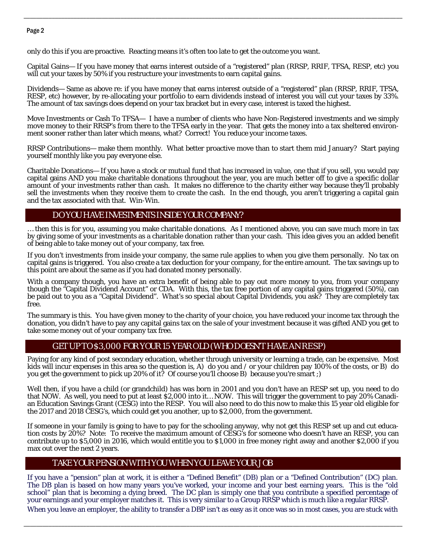#### Page 2

only do this if you are proactive. Reacting means it's often too late to get the outcome you want.

Capital Gains— If you have money that earns interest outside of a "registered" plan (RRSP, RRIF, TFSA, RESP, etc) you will cut your taxes by 50% if you restructure your investments to earn capital gains.

\_\_\_\_\_\_\_\_\_\_\_\_\_\_\_\_\_\_\_\_\_\_\_\_\_\_\_\_\_\_\_\_\_\_\_\_\_\_\_\_\_\_\_\_\_\_\_\_\_\_\_\_\_\_\_\_\_\_\_\_\_\_\_\_\_\_\_\_\_\_\_\_\_\_\_\_\_\_\_\_\_\_\_\_\_\_\_\_\_\_\_\_\_\_\_\_\_\_\_\_\_\_\_\_\_\_\_\_\_\_\_\_\_\_\_\_\_\_\_\_\_

Dividends— Same as above re: if you have money that earns interest outside of a "registered" plan (RRSP, RRIF, TFSA, RESP, etc) however, by re-allocating your portfolio to earn dividends instead of interest you will cut your taxes by 33%. The amount of tax savings does depend on your tax bracket but in every case, interest is taxed the highest.

Move Investments or Cash To TFSA— I have a number of clients who have Non-Registered investments and we simply move money to their RRSP's from there to the TFSA early in the year. That gets the money into a tax sheltered environment sooner rather than later which means, what? Correct! You reduce your income taxes.

RRSP Contributions— make them monthly. What better proactive move than to start them mid January? Start paying yourself monthly like you pay everyone else.

Charitable Donations— If you have a stock or mutual fund that has increased in value, one that if you sell, you would pay capital gains AND you make charitable donations throughout the year, you are much better off to give a specific dollar amount of your investments rather than cash. It makes no difference to the charity either way because they'll probably sell the investments when they receive them to create the cash. In the end though, you aren't triggering a capital gain and the tax associated with that. Win-Win.

## DO YOU HAVE INVESTMENTS INSIDE YOUR COMPANY?

… then this is for you, assuming you make charitable donations. As I mentioned above, you can save much more in tax by giving some of your investments as a charitable donation rather than your cash. This idea gives you an added benefit of being able to take money out of your company, tax free.

If you don't investments from inside your company, the same rule applies to when you give them personally. No tax on capital gains is triggered. You also create a tax deduction for your company, for the entire amount. The tax savings up to this point are about the same as if you had donated money personally.

With a company though, you have an extra benefit of being able to pay out more money to you, from your company though the "Capital Dividend Account" or CDA. With this, the tax free portion of any capital gains triggered (50%), can be paid out to you as a "Capital Dividend". What's so special about Capital Dividends, you ask? They are completely tax free.

The summary is this. You have given money to the charity of your choice, you have reduced your income tax through the donation, you didn't have to pay any capital gains tax on the sale of your investment because it was gifted AND you get to take some money out of your company tax free.

## GET UP TO \$3,000 FOR YOUR 15 YEAR OLD (WHO DOESN'T HAVE AN RESP)

Paying for any kind of post secondary education, whether through university or learning a trade, can be expensive. Most kids will incur expenses in this area so the question is, A) do you and / or your children pay 100% of the costs, or B) do you get the government to pick up 20% of it? Of course you'll choose B) because you're smart ;)

Well then, if you have a child (or grandchild) has was born in 2001 and you don't have an RESP set up, you need to do that NOW. As well, you need to put at least \$2,000 into it… NOW. This will trigger the government to pay 20% Canadian Education Savings Grant (CESG) into the RESP. You will also need to do this now to make this 15 year old eligible for the 2017 and 2018 CESG's, which could get you another, up to \$2,000, from the government.

If someone in your family is going to have to pay for the schooling anyway, why not get this RESP set up and cut education costs by 20%? Note: To receive the maximum amount of CESG's for someone who doesn't have an RESP, you can contribute up to \$5,000 in 2016, which would entitle you to \$1,000 in free money right away and another \$2,000 if you max out over the next 2 years.

## TAKE YOUR PENSION WITH YOU WHEN YOU LEAVE YOUR JOB

If you have a "pension" plan at work, it is either a "Defined Benefit" (DB) plan or a "Defined Contribution" (DC) plan. The DB plan is based on how many years you've worked, your income and your best earning years. This is the "old school" plan that is becoming a dying breed. The DC plan is simply one that you contribute a specified percentage of your earnings and your employer matches it. This is very similar to a Group RRSP which is much like a regular RRSP.

\_\_\_\_\_\_\_\_\_\_\_\_\_\_\_\_\_\_\_\_\_\_\_\_\_\_\_\_\_\_\_\_\_\_\_\_\_\_\_\_\_\_\_\_\_\_\_\_\_\_\_\_\_\_\_\_\_\_\_\_\_\_\_\_\_\_\_\_\_\_\_\_\_\_\_\_\_\_\_\_\_\_\_\_\_\_\_\_\_\_\_\_\_\_\_\_\_\_\_\_\_\_\_\_\_\_\_\_\_\_\_\_\_\_\_\_\_\_\_\_\_ When you leave an employer, the ability to transfer a DBP isn't as easy as it once was so in most cases, you are stuck with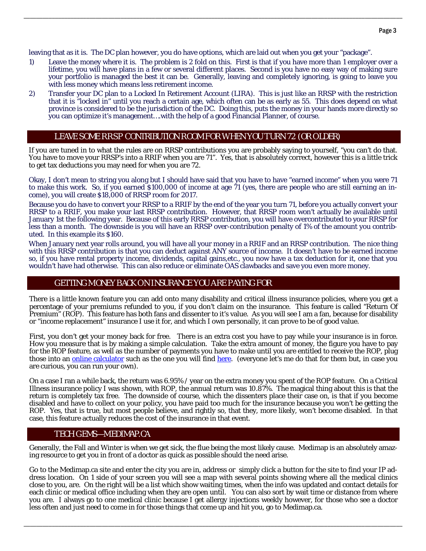leaving that as it is. The DC plan however, you do have options, which are laid out when you get your "package".

1) Leave the money where it is. The problem is 2 fold on this. First is that if you have more than 1 employer over a lifetime, you will have plans in a few or several different places. Second is you have no easy way of making sure your portfolio is managed the best it can be. Generally, leaving and completely ignoring, is going to leave you with less money which means less retirement income.

\_\_\_\_\_\_\_\_\_\_\_\_\_\_\_\_\_\_\_\_\_\_\_\_\_\_\_\_\_\_\_\_\_\_\_\_\_\_\_\_\_\_\_\_\_\_\_\_\_\_\_\_\_\_\_\_\_\_\_\_\_\_\_\_\_\_\_\_\_\_\_\_\_\_\_\_\_\_\_\_\_\_\_\_\_\_\_\_\_\_\_\_\_\_\_\_\_\_\_\_\_\_\_\_\_\_\_\_\_\_\_\_\_\_\_\_\_\_\_\_\_

2) Transfer your DC plan to a Locked In Retirement Account (LIRA). This is just like an RRSP with the restriction that it is "locked in" until you reach a certain age, which often can be as early as 55. This does depend on what province is considered to be the jurisdiction of the DC. Doing this, puts the money in your hands more directly so you can optimize it's management….with the help of a good Financial Planner, of course.

## LEAVE SOME RRSP CONTRIBUTION ROOM FOR WHEN YOU TURN 72 (OR OLDER)

If you are tuned in to what the rules are on RRSP contributions you are probably saying to yourself, "you can't do that. You have to move your RRSP's into a RRIF when you are 71". Yes, that is absolutely correct, however this is a little trick to get tax deductions you may need for when you are 72.

Okay, I don't mean to string you along but I should have said that you have to have "earned income" when you were 71 to make this work. So, if you earned \$100,000 of income at age  $71$  (yes, there are people who are still earning an income), you will create \$18,000 of RRSP room for 2017.

Because you do have to convert your RRSP to a RRIF by the end of the year you turn 71, before you actually convert your RRSP to a RRIF, you make your last RRSP contribution. However, that RRSP room won't actually be available until January 1st the following year. Because of this early RRSP contribution, you will have overcontributed to your RRSP for less than a month. The downside is you will have an RRSP over-contribution penalty of 1% of the amount you contributed. In this example its \$160.

When January next year rolls around, you will have all your money in a RRIF and an RRSP contribution. The nice thing with this RRSP contribution is that you can deduct against ANY source of income. It doesn't have to be earned income so, if you have rental property income, dividends, capital gains,etc., you now have a tax deduction for it, one that you wouldn't have had otherwise. This can also reduce or eliminate OAS clawbacks and save you even more money.

## GETTING MONEY BACK ON INSURANCE YOU ARE PAYING FOR

There is a little known feature you can add onto many disability and critical illness insurance policies, where you get a percentage of your premiums refunded to you, if you don't claim on the insurance. This feature is called "Return Of Premium" (ROP). This feature has both fans and dissenter to it's value. As you will see I am a fan, because for disability or "income replacement" insurance I use it for, and which I own personally, it can prove to be of good value.

First, you don't get your money back for free. There is an extra cost you have to pay while your insurance is in force. How you measure that is by making a simple calculation. Take the extra amount of money, the figure you have to pay for the ROP feature, as well as the number of payments you have to make until you are entitled to receive the ROP, plug those into an <u>online calculator</u> such as the one you will find here. (everyone let's me do that for them but, in case you are curious, you can run your own).

On a case I ran a while back, the return was 6.95% / year on the extra money you spent of the ROP feature. On a Critical Illness insurance policy I was shown, with ROP, the annual return was 10.87%. The magical thing about this is that the return is completely tax free. The downside of course, which the dissenters place their case on, is that if you become disabled and have to collect on your policy, you have paid too much for the insurance because you won't be getting the ROP. Yes, that is true, but most people believe, and rightly so, that they, more likely, won't become disabled. In that case, this feature actually reduces the cost of the insurance in that event.

## TECH GEMS—MEDIMAP.CA

Generally, the Fall and Winter is when we get sick, the flue being the most likely cause. Medimap is an absolutely amazing resource to get you in front of a doctor as quick as possible should the need arise.

Go to the Medimap.ca site and enter the city you are in, address or simply click a button for the site to find your IP address location. On 1 side of your screen you will see a map with several points showing where all the medical clinics close to you, are. On the right will be a list which show waiting times, when the info was updated and contact details for each clinic or medical office including when they are open until. You can also sort by wait time or distance from where you are. I always go to one medical clinic because I get allergy injections weekly however, for those who see a doctor less often and just need to come in for those things that come up and hit you, go to Medimap.ca.

\_\_\_\_\_\_\_\_\_\_\_\_\_\_\_\_\_\_\_\_\_\_\_\_\_\_\_\_\_\_\_\_\_\_\_\_\_\_\_\_\_\_\_\_\_\_\_\_\_\_\_\_\_\_\_\_\_\_\_\_\_\_\_\_\_\_\_\_\_\_\_\_\_\_\_\_\_\_\_\_\_\_\_\_\_\_\_\_\_\_\_\_\_\_\_\_\_\_\_\_\_\_\_\_\_\_\_\_\_\_\_\_\_\_\_\_\_\_\_\_\_